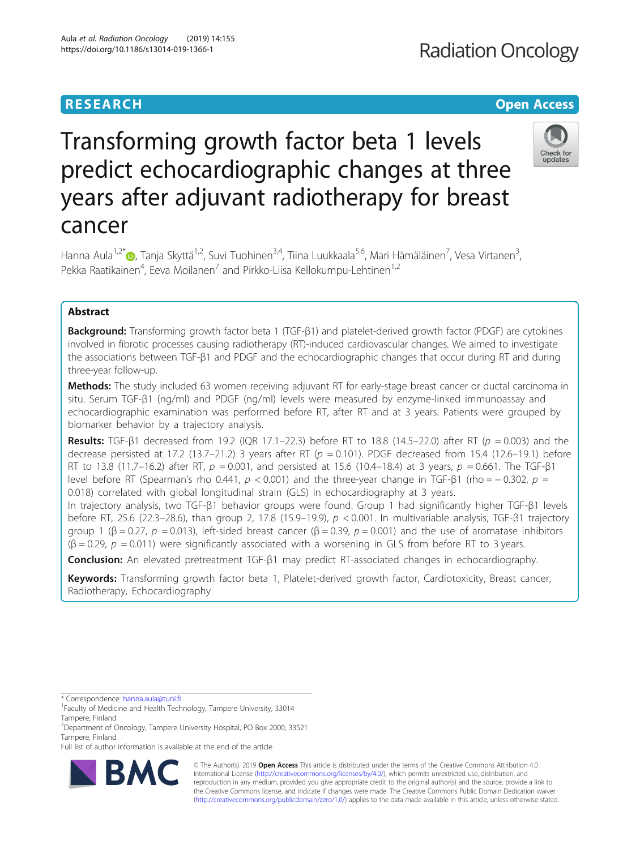# **RESEARCH CHE Open Access**

# Check for updates

# Transforming growth factor beta 1 levels predict echocardiographic changes at three years after adjuvant radiotherapy for breast cancer

Hanna Aula<sup>1[,](http://orcid.org/0000-0001-7680-517X)2\*</sup>®, Tanja Skyttä<sup>1,2</sup>, Suvi Tuohinen<sup>3,4</sup>, Tiina Luukkaala<sup>5,6</sup>, Mari Hämäläinen<sup>7</sup>, Vesa Virtanen<sup>3</sup> , Pekka Raatikainen<sup>4</sup>, Eeva Moilanen<sup>7</sup> and Pirkko-Liisa Kellokumpu-Lehtinen<sup>1,2</sup>

# Abstract

Background: Transforming growth factor beta 1 (TGF-β1) and platelet-derived growth factor (PDGF) are cytokines involved in fibrotic processes causing radiotherapy (RT)-induced cardiovascular changes. We aimed to investigate the associations between TGF-β1 and PDGF and the echocardiographic changes that occur during RT and during three-year follow-up.

Methods: The study included 63 women receiving adjuvant RT for early-stage breast cancer or ductal carcinoma in situ. Serum TGF-β1 (ng/ml) and PDGF (ng/ml) levels were measured by enzyme-linked immunoassay and echocardiographic examination was performed before RT, after RT and at 3 years. Patients were grouped by biomarker behavior by a trajectory analysis.

**Results:** TGF-β1 decreased from 19.2 (IQR 17.1–22.3) before RT to 18.8 (14.5–22.0) after RT ( $p = 0.003$ ) and the decrease persisted at 17.2 (13.7–21.2) 3 years after RT ( $p = 0.101$ ). PDGF decreased from 15.4 (12.6–19.1) before RT to 13.8 (11.7–16.2) after RT,  $p = 0.001$ , and persisted at 15.6 (10.4–18.4) at 3 years,  $p = 0.661$ . The TGF- $\beta$ 1 level before RT (Spearman's rho 0.441,  $p < 0.001$ ) and the three-year change in TGF- $\beta$ 1 (rho = -0.302,  $p =$ 0.018) correlated with global longitudinal strain (GLS) in echocardiography at 3 years.

In trajectory analysis, two TGF-β1 behavior groups were found. Group 1 had significantly higher TGF-β1 levels before RT, 25.6 (22.3–28.6), than group 2, 17.8 (15.9–19.9),  $p < 0.001$ . In multivariable analysis, TGF- $\beta$ 1 trajectory group 1 (β = 0.27,  $p = 0.013$ ), left-sided breast cancer (β = 0.39,  $p = 0.001$ ) and the use of aromatase inhibitors  $(\beta = 0.29, p = 0.011)$  were significantly associated with a worsening in GLS from before RT to 3 years.

Conclusion: An elevated pretreatment TGF-β1 may predict RT-associated changes in echocardiography.

Keywords: Transforming growth factor beta 1, Platelet-derived growth factor, Cardiotoxicity, Breast cancer, Radiotherapy, Echocardiography

Full list of author information is available at the end of the article



© The Author(s). 2019 **Open Access** This article is distributed under the terms of the Creative Commons Attribution 4.0 International License [\(http://creativecommons.org/licenses/by/4.0/](http://creativecommons.org/licenses/by/4.0/)), which permits unrestricted use, distribution, and reproduction in any medium, provided you give appropriate credit to the original author(s) and the source, provide a link to the Creative Commons license, and indicate if changes were made. The Creative Commons Public Domain Dedication waiver [\(http://creativecommons.org/publicdomain/zero/1.0/](http://creativecommons.org/publicdomain/zero/1.0/)) applies to the data made available in this article, unless otherwise stated.

<sup>\*</sup> Correspondence: [hanna.aula@tuni.fi](mailto:hanna.aula@tuni.fi) <sup>1</sup>

<sup>&</sup>lt;sup>1</sup> Faculty of Medicine and Health Technology, Tampere University, 33014 Tampere, Finland

<sup>&</sup>lt;sup>2</sup> Department of Oncology, Tampere University Hospital, PO Box 2000, 33521 Tampere, Finland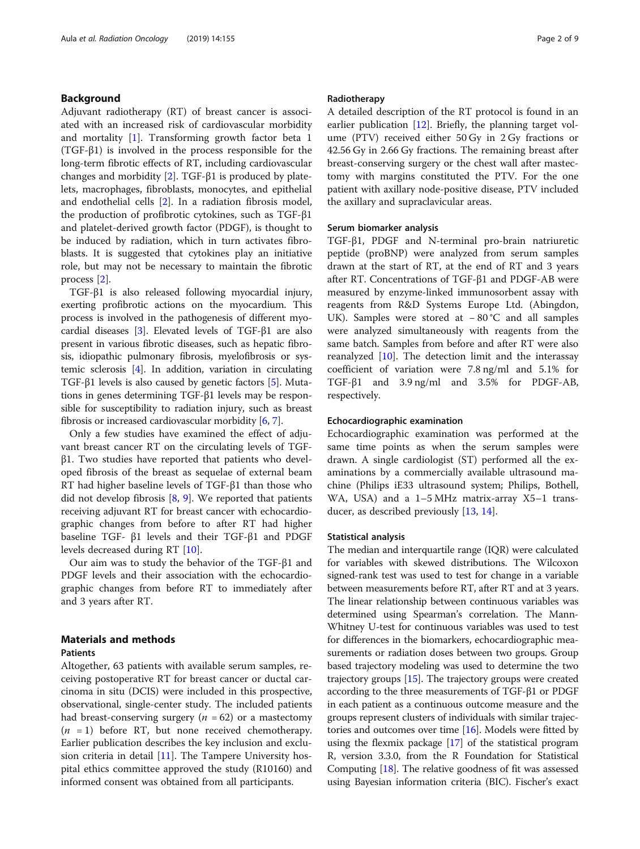# Background

Adjuvant radiotherapy (RT) of breast cancer is associated with an increased risk of cardiovascular morbidity and mortality [[1\]](#page-7-0). Transforming growth factor beta 1 (TGF-β1) is involved in the process responsible for the long-term fibrotic effects of RT, including cardiovascular changes and morbidity [[2\]](#page-7-0). TGF-β1 is produced by platelets, macrophages, fibroblasts, monocytes, and epithelial and endothelial cells [\[2](#page-7-0)]. In a radiation fibrosis model, the production of profibrotic cytokines, such as TGF-β1 and platelet-derived growth factor (PDGF), is thought to be induced by radiation, which in turn activates fibroblasts. It is suggested that cytokines play an initiative role, but may not be necessary to maintain the fibrotic process [\[2](#page-7-0)].

TGF-β1 is also released following myocardial injury, exerting profibrotic actions on the myocardium. This process is involved in the pathogenesis of different myocardial diseases [[3\]](#page-7-0). Elevated levels of TGF-β1 are also present in various fibrotic diseases, such as hepatic fibrosis, idiopathic pulmonary fibrosis, myelofibrosis or systemic sclerosis [[4\]](#page-7-0). In addition, variation in circulating TGF-β1 levels is also caused by genetic factors [\[5\]](#page-7-0). Mutations in genes determining TGF-β1 levels may be responsible for susceptibility to radiation injury, such as breast fibrosis or increased cardiovascular morbidity [\[6,](#page-7-0) [7](#page-7-0)].

Only a few studies have examined the effect of adjuvant breast cancer RT on the circulating levels of TGFβ1. Two studies have reported that patients who developed fibrosis of the breast as sequelae of external beam RT had higher baseline levels of TGF-β1 than those who did not develop fibrosis [\[8,](#page-7-0) [9](#page-7-0)]. We reported that patients receiving adjuvant RT for breast cancer with echocardiographic changes from before to after RT had higher baseline TGF- β1 levels and their TGF-β1 and PDGF levels decreased during RT [\[10](#page-7-0)].

Our aim was to study the behavior of the TGF-β1 and PDGF levels and their association with the echocardiographic changes from before RT to immediately after and 3 years after RT.

# Materials and methods

# Patients

Altogether, 63 patients with available serum samples, receiving postoperative RT for breast cancer or ductal carcinoma in situ (DCIS) were included in this prospective, observational, single-center study. The included patients had breast-conserving surgery ( $n = 62$ ) or a mastectomy  $(n = 1)$  before RT, but none received chemotherapy. Earlier publication describes the key inclusion and exclusion criteria in detail [\[11](#page-7-0)]. The Tampere University hospital ethics committee approved the study (R10160) and informed consent was obtained from all participants.

# Radiotherapy

A detailed description of the RT protocol is found in an earlier publication [\[12](#page-7-0)]. Briefly, the planning target volume (PTV) received either 50 Gy in 2 Gy fractions or 42.56 Gy in 2.66 Gy fractions. The remaining breast after breast-conserving surgery or the chest wall after mastectomy with margins constituted the PTV. For the one patient with axillary node-positive disease, PTV included the axillary and supraclavicular areas.

# Serum biomarker analysis

TGF-β1, PDGF and N-terminal pro-brain natriuretic peptide (proBNP) were analyzed from serum samples drawn at the start of RT, at the end of RT and 3 years after RT. Concentrations of TGF-β1 and PDGF-AB were measured by enzyme-linked immunosorbent assay with reagents from R&D Systems Europe Ltd. (Abingdon, UK). Samples were stored at − 80 °C and all samples were analyzed simultaneously with reagents from the same batch. Samples from before and after RT were also reanalyzed  $[10]$  $[10]$  $[10]$ . The detection limit and the interassay coefficient of variation were 7.8 ng/ml and 5.1% for TGF-β1 and 3.9 ng/ml and 3.5% for PDGF-AB, respectively.

# Echocardiographic examination

Echocardiographic examination was performed at the same time points as when the serum samples were drawn. A single cardiologist (ST) performed all the examinations by a commercially available ultrasound machine (Philips iE33 ultrasound system; Philips, Bothell, WA, USA) and a 1–5 MHz matrix-array X5–1 transducer, as described previously [\[13](#page-7-0), [14\]](#page-7-0).

# Statistical analysis

The median and interquartile range (IQR) were calculated for variables with skewed distributions. The Wilcoxon signed-rank test was used to test for change in a variable between measurements before RT, after RT and at 3 years. The linear relationship between continuous variables was determined using Spearman's correlation. The Mann-Whitney U-test for continuous variables was used to test for differences in the biomarkers, echocardiographic measurements or radiation doses between two groups. Group based trajectory modeling was used to determine the two trajectory groups [\[15\]](#page-7-0). The trajectory groups were created according to the three measurements of TGF-β1 or PDGF in each patient as a continuous outcome measure and the groups represent clusters of individuals with similar trajectories and outcomes over time  $[16]$ . Models were fitted by using the flexmix package [[17](#page-7-0)] of the statistical program R, version 3.3.0, from the R Foundation for Statistical Computing  $[18]$  $[18]$ . The relative goodness of fit was assessed using Bayesian information criteria (BIC). Fischer's exact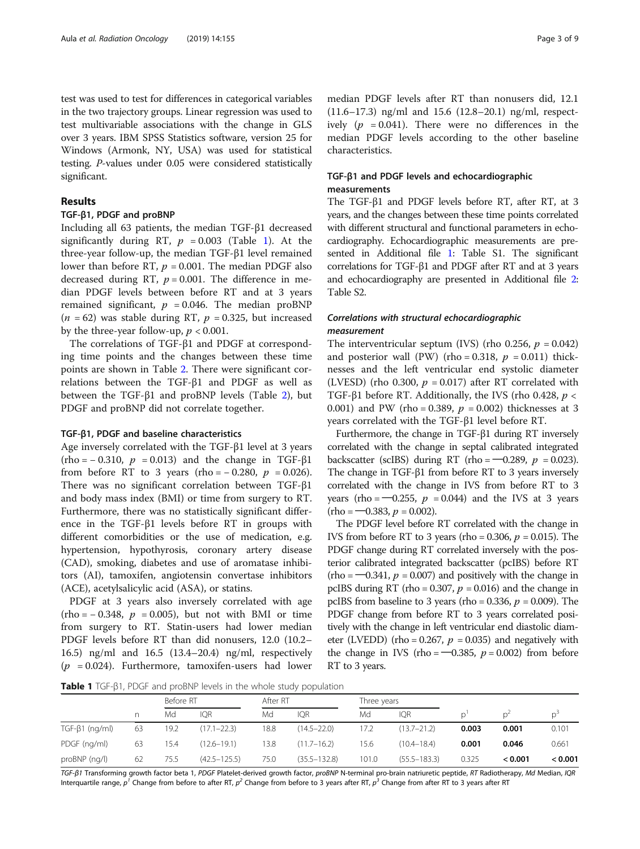test was used to test for differences in categorical variables in the two trajectory groups. Linear regression was used to test multivariable associations with the change in GLS over 3 years. IBM SPSS Statistics software, version 25 for Windows (Armonk, NY, USA) was used for statistical testing. P-values under 0.05 were considered statistically significant.

# Results

# TGF-β1, PDGF and proBNP

Including all 63 patients, the median TGF-β1 decreased significantly during RT,  $p = 0.003$  (Table 1). At the three-year follow-up, the median TGF-β1 level remained lower than before RT,  $p = 0.001$ . The median PDGF also decreased during RT,  $p = 0.001$ . The difference in median PDGF levels between before RT and at 3 years remained significant,  $p = 0.046$ . The median proBNP  $(n = 62)$  was stable during RT,  $p = 0.325$ , but increased by the three-year follow-up,  $p < 0.001$ .

The correlations of TGF-β1 and PDGF at corresponding time points and the changes between these time points are shown in Table [2](#page-3-0). There were significant correlations between the TGF-β1 and PDGF as well as between the TGF-β1 and proBNP levels (Table [2](#page-3-0)), but PDGF and proBNP did not correlate together.

#### TGF-β1, PDGF and baseline characteristics

Age inversely correlated with the TGF-β1 level at 3 years  $(rho = -0.310, p = 0.013)$  and the change in TGF- $\beta$ 1 from before RT to 3 years (rho =  $-0.280, p = 0.026$ ). There was no significant correlation between TGF-β1 and body mass index (BMI) or time from surgery to RT. Furthermore, there was no statistically significant difference in the TGF-β1 levels before RT in groups with different comorbidities or the use of medication, e.g. hypertension, hypothyrosis, coronary artery disease (CAD), smoking, diabetes and use of aromatase inhibitors (AI), tamoxifen, angiotensin convertase inhibitors (ACE), acetylsalicylic acid (ASA), or statins.

PDGF at 3 years also inversely correlated with age  $(rho = -0.348, p = 0.005)$ , but not with BMI or time from surgery to RT. Statin-users had lower median PDGF levels before RT than did nonusers, 12.0 (10.2– 16.5) ng/ml and 16.5 (13.4–20.4) ng/ml, respectively  $(p = 0.024)$ . Furthermore, tamoxifen-users had lower

median PDGF levels after RT than nonusers did, 12.1 (11.6–17.3) ng/ml and 15.6 (12.8–20.1) ng/ml, respectively ( $p = 0.041$ ). There were no differences in the median PDGF levels according to the other baseline characteristics.

# TGF-β1 and PDGF levels and echocardiographic measurements

The TGF-β1 and PDGF levels before RT, after RT, at 3 years, and the changes between these time points correlated with different structural and functional parameters in echocardiography. Echocardiographic measurements are presented in Additional file [1](#page-6-0): Table S1. The significant correlations for TGF-β1 and PDGF after RT and at 3 years and echocardiography are presented in Additional file [2](#page-6-0): Table S2.

# Correlations with structural echocardiographic measurement

The interventricular septum (IVS) (rho 0.256,  $p = 0.042$ ) and posterior wall (PW) (rho = 0.318,  $p = 0.011$ ) thicknesses and the left ventricular end systolic diameter (LVESD) (rho 0.300,  $p = 0.017$ ) after RT correlated with TGF-β1 before RT. Additionally, the IVS (rho 0.428,  $p$  < 0.001) and PW (rho = 0.389,  $p = 0.002$ ) thicknesses at 3 years correlated with the TGF-β1 level before RT.

Furthermore, the change in TGF-β1 during RT inversely correlated with the change in septal calibrated integrated backscatter (scIBS) during RT (rho =  $-0.289$ ,  $p = 0.023$ ). The change in TGF-β1 from before RT to 3 years inversely correlated with the change in IVS from before RT to 3 years (rho =  $-0.255$ ,  $p = 0.044$ ) and the IVS at 3 years  $(rho = -0.383, p = 0.002)$ .

The PDGF level before RT correlated with the change in IVS from before RT to 3 years (rho =  $0.306$ ,  $p = 0.015$ ). The PDGF change during RT correlated inversely with the posterior calibrated integrated backscatter (pcIBS) before RT  $(rho = -0.341, p = 0.007)$  and positively with the change in pcIBS during RT (rho =  $0.307$ ,  $p = 0.016$ ) and the change in pcIBS from baseline to 3 years (rho = 0.336,  $p = 0.009$ ). The PDGF change from before RT to 3 years correlated positively with the change in left ventricular end diastolic diameter (LVEDD) (rho = 0.267,  $p = 0.035$ ) and negatively with the change in IVS (rho =  $-0.385$ ,  $p = 0.002$ ) from before RT to 3 years.

Table 1 TGF-β1, PDGF and proBNP levels in the whole study population

|                      |    | Before RT |                  | After RT |                  | Three years |                  |       |         |         |
|----------------------|----|-----------|------------------|----------|------------------|-------------|------------------|-------|---------|---------|
|                      | n  | Md        | <b>IOR</b>       | Md       | <b>IOR</b>       | Md          | <b>IOR</b>       |       |         | D.      |
| $TGF-\beta1 (nq/ml)$ | 63 | 19.2      | $(17.1 - 22.3)$  | 18.8     | $(14.5 - 22.0)$  | 17.2        | $(13.7 - 21.2)$  | 0.003 | 0.001   | 0.101   |
| PDGF (ng/ml)         | 63 | 15.4      | $(12.6 - 19.1)$  | 13.8     | $(11.7 - 16.2)$  | 15.6        | $(10.4 - 18.4)$  | 0.001 | 0.046   | 0.661   |
| proBNP (ng/l)        | 62 | 75.5      | $(42.5 - 125.5)$ | 75.0     | $(35.5 - 132.8)$ | 101.0       | $(55.5 - 183.3)$ | 0.325 | < 0.001 | < 0.001 |

TGF-β1 Transforming growth factor beta 1, PDGF Platelet-derived growth factor, proBNP N-terminal pro-brain natriuretic peptide, RT Radiotherapy, Md Median, IQR Interquartile range,  $p^1$  Change from before to after RT,  $p^2$  Change from before to 3 years after RT,  $p^3$  Change from after RT to 3 years after RT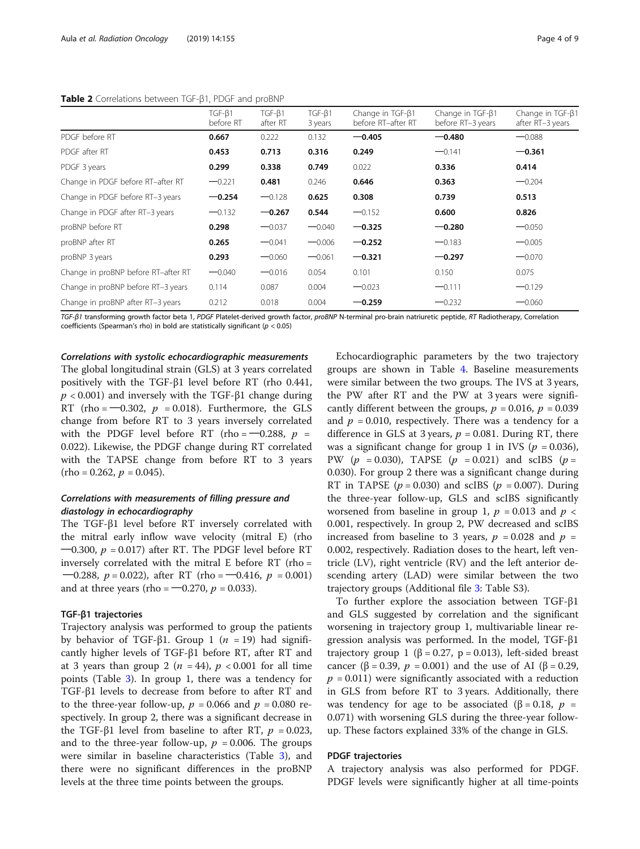## <span id="page-3-0"></span>Table 2 Correlations between TGF-B1, PDGF and proBNP

| conclusions settlecting principle of and proprin |                           |                          |                   |                                        |                                       |                                      |
|--------------------------------------------------|---------------------------|--------------------------|-------------------|----------------------------------------|---------------------------------------|--------------------------------------|
|                                                  | $TGF-\beta1$<br>before RT | $TGF-\beta1$<br>after RT | TGF-B1<br>3 years | Change in TGF-ß1<br>before RT-after RT | Change in TGF-B1<br>before RT-3 years | Change in TGF-B1<br>after RT-3 years |
| PDGF before RT                                   | 0.667                     | 0.222                    | 0.132             | $-0.405$                               | $-0.480$                              | $-0.088$                             |
| PDGF after RT                                    | 0.453                     | 0.713                    | 0.316             | 0.249                                  | $-0.141$                              | $-0.361$                             |
| PDGF 3 years                                     | 0.299                     | 0.338                    | 0.749             | 0.022                                  | 0.336                                 | 0.414                                |
| Change in PDGF before RT-after RT                | $-0.221$                  | 0.481                    | 0.246             | 0.646                                  | 0.363                                 | $-0.204$                             |
| Change in PDGF before RT-3 years                 | $-0.254$                  | $-0.128$                 | 0.625             | 0.308                                  | 0.739                                 | 0.513                                |
| Change in PDGF after RT-3 years                  | $-0.132$                  | $-0.267$                 | 0.544             | $-0.152$                               | 0.600                                 | 0.826                                |
| proBNP before RT                                 | 0.298                     | $-0.037$                 | $-0.040$          | $-0.325$                               | $-0.280$                              | $-0.050$                             |
| proBNP after RT                                  | 0.265                     | $-0.041$                 | $-0.006$          | $-0.252$                               | $-0.183$                              | $-0.005$                             |
| proBNP 3 years                                   | 0.293                     | $-0.060$                 | $-0.061$          | $-0.321$                               | $-0.297$                              | $-0.070$                             |
| Change in proBNP before RT-after RT              | $-0.040$                  | $-0.016$                 | 0.054             | 0.101                                  | 0.150                                 | 0.075                                |
| Change in proBNP before RT-3 years               | 0.114                     | 0.087                    | 0.004             | $-0.023$                               | $-0.111$                              | $-0.129$                             |
| Change in proBNP after RT-3 years                | 0.212                     | 0.018                    | 0.004             | $-0.259$                               | $-0.232$                              | $-0.060$                             |

TGF-β1 transforming growth factor beta 1, PDGF Platelet-derived growth factor, proBNP N-terminal pro-brain natriuretic peptide, RT Radiotherapy, Correlation coefficients (Spearman's rho) in bold are statistically significant ( $p < 0.05$ )

# Correlations with systolic echocardiographic measurements The global longitudinal strain (GLS) at 3 years correlated positively with the TGF-β1 level before RT (rho 0.441,  $p < 0.001$ ) and inversely with the TGF- $\beta$ 1 change during RT (rho =  $-0.302$ ,  $p = 0.018$ ). Furthermore, the GLS change from before RT to 3 years inversely correlated with the PDGF level before RT (rho =  $-0.288$ ,  $p =$ 0.022). Likewise, the PDGF change during RT correlated with the TAPSE change from before RT to 3 years  $(rho = 0.262, p = 0.045).$

# Correlations with measurements of filling pressure and diastology in echocardiography

The TGF-β1 level before RT inversely correlated with the mitral early inflow wave velocity (mitral E) (rho  $-0.300$ ,  $p = 0.017$ ) after RT. The PDGF level before RT inversely correlated with the mitral E before RT (rho = —0.288,  $p = 0.022$ ), after RT (rho = —0.416,  $p = 0.001$ ) and at three years (rho =  $-0.270$ ,  $p = 0.033$ ).

## TGF-β1 trajectories

Trajectory analysis was performed to group the patients by behavior of TGF-β1. Group 1 ( $n = 19$ ) had significantly higher levels of TGF-β1 before RT, after RT and at 3 years than group 2 ( $n = 44$ ),  $p < 0.001$  for all time points (Table [3\)](#page-4-0). In group 1, there was a tendency for TGF-β1 levels to decrease from before to after RT and to the three-year follow-up,  $p = 0.066$  and  $p = 0.080$  respectively. In group 2, there was a significant decrease in the TGF-β1 level from baseline to after RT,  $p = 0.023$ , and to the three-year follow-up,  $p = 0.006$ . The groups were similar in baseline characteristics (Table [3\)](#page-4-0), and there were no significant differences in the proBNP levels at the three time points between the groups.

Echocardiographic parameters by the two trajectory groups are shown in Table [4.](#page-5-0) Baseline measurements were similar between the two groups. The IVS at 3 years, the PW after RT and the PW at 3 years were significantly different between the groups,  $p = 0.016$ ,  $p = 0.039$ and  $p = 0.010$ , respectively. There was a tendency for a difference in GLS at 3 years,  $p = 0.081$ . During RT, there was a significant change for group 1 in IVS ( $p = 0.036$ ), PW ( $p = 0.030$ ), TAPSE ( $p = 0.021$ ) and scIBS ( $p =$ 0.030). For group 2 there was a significant change during RT in TAPSE ( $p = 0.030$ ) and scIBS ( $p = 0.007$ ). During the three-year follow-up, GLS and scIBS significantly worsened from baseline in group 1,  $p = 0.013$  and  $p <$ 0.001, respectively. In group 2, PW decreased and scIBS increased from baseline to 3 years,  $p = 0.028$  and  $p =$ 0.002, respectively. Radiation doses to the heart, left ventricle (LV), right ventricle (RV) and the left anterior descending artery (LAD) were similar between the two trajectory groups (Additional file [3:](#page-6-0) Table S3).

To further explore the association between TGF-β1 and GLS suggested by correlation and the significant worsening in trajectory group 1, multivariable linear regression analysis was performed. In the model, TGF-β1 trajectory group 1 (β = 0.27, p = 0.013), left-sided breast cancer (β = 0.39,  $p = 0.001$ ) and the use of AI (β = 0.29,  $p = 0.011$ ) were significantly associated with a reduction in GLS from before RT to 3 years. Additionally, there was tendency for age to be associated ( $\beta = 0.18$ ,  $p =$ 0.071) with worsening GLS during the three-year followup. These factors explained 33% of the change in GLS.

# PDGF trajectories

A trajectory analysis was also performed for PDGF. PDGF levels were significantly higher at all time-points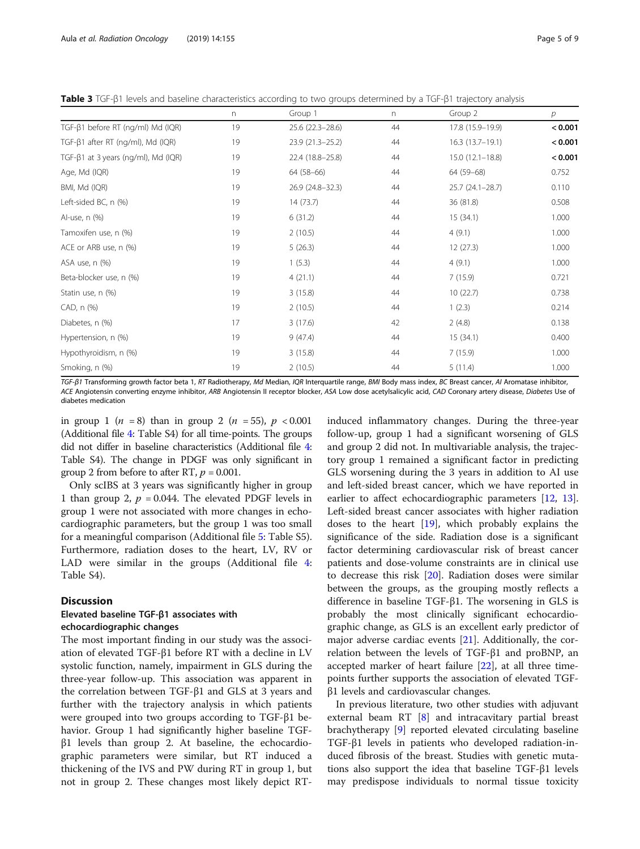|                                             | n  | Group 1          | n  | Group 2             | р       |
|---------------------------------------------|----|------------------|----|---------------------|---------|
| TGF-ß1 before RT (ng/ml) Md (IQR)           | 19 | 25.6 (22.3-28.6) | 44 | 17.8 (15.9-19.9)    | < 0.001 |
| TGF-ß1 after RT (ng/ml), Md (IQR)           | 19 | 23.9 (21.3-25.2) | 44 | $16.3(13.7-19.1)$   | < 0.001 |
| TGF- $\beta$ 1 at 3 years (ng/ml), Md (IQR) | 19 | 22.4 (18.8-25.8) | 44 | $15.0(12.1 - 18.8)$ | < 0.001 |
| Age, Md (IQR)                               | 19 | 64 (58-66)       | 44 | 64 (59-68)          | 0.752   |
| BMI, Md (IQR)                               | 19 | 26.9 (24.8-32.3) | 44 | $25.7(24.1-28.7)$   | 0.110   |
| Left-sided BC, n (%)                        | 19 | 14(73.7)         | 44 | 36 (81.8)           | 0.508   |
| Al-use, n (%)                               | 19 | 6(31.2)          | 44 | 15(34.1)            | 1.000   |
| Tamoxifen use, n (%)                        | 19 | 2(10.5)          | 44 | 4(9.1)              | 1.000   |
| ACE or ARB use, n (%)                       | 19 | 5(26.3)          | 44 | 12(27.3)            | 1.000   |
| ASA use, n (%)                              | 19 | 1(5.3)           | 44 | 4(9.1)              | 1.000   |
| Beta-blocker use, n (%)                     | 19 | 4(21.1)          | 44 | 7(15.9)             | 0.721   |
| Statin use, n (%)                           | 19 | 3(15.8)          | 44 | 10(22.7)            | 0.738   |
| CAD, n (%)                                  | 19 | 2(10.5)          | 44 | 1(2.3)              | 0.214   |
| Diabetes, n (%)                             | 17 | 3(17.6)          | 42 | 2(4.8)              | 0.138   |
| Hypertension, n (%)                         | 19 | 9(47.4)          | 44 | 15(34.1)            | 0.400   |
| Hypothyroidism, n (%)                       | 19 | 3(15.8)          | 44 | 7(15.9)             | 1.000   |
| Smoking, n (%)                              | 19 | 2(10.5)          | 44 | 5(11.4)             | 1.000   |

<span id="page-4-0"></span>Table 3 TGF-β1 levels and baseline characteristics according to two groups determined by a TGF-β1 trajectory analysis

TGF-β1 Transforming growth factor beta 1, RT Radiotherapy, Md Median, IQR Interquartile range, BMI Body mass index, BC Breast cancer, AI Aromatase inhibitor, ACE Angiotensin converting enzyme inhibitor, ARB Angiotensin II receptor blocker, ASA Low dose acetylsalicylic acid, CAD Coronary artery disease, Diabetes Use of diabetes medication

in group 1 (*n* = 8) than in group 2 (*n* = 55),  $p < 0.001$ (Additional file [4](#page-6-0): Table S4) for all time-points. The groups did not differ in baseline characteristics (Additional file [4](#page-6-0): Table S4). The change in PDGF was only significant in group 2 from before to after RT,  $p = 0.001$ .

Only scIBS at 3 years was significantly higher in group 1 than group 2,  $p = 0.044$ . The elevated PDGF levels in group 1 were not associated with more changes in echocardiographic parameters, but the group 1 was too small for a meaningful comparison (Additional file [5](#page-6-0): Table S5). Furthermore, radiation doses to the heart, LV, RV or LAD were similar in the groups (Additional file [4](#page-6-0): Table S4).

# **Discussion**

# Elevated baseline TGF-β1 associates with echocardiographic changes

The most important finding in our study was the association of elevated TGF-β1 before RT with a decline in LV systolic function, namely, impairment in GLS during the three-year follow-up. This association was apparent in the correlation between TGF-β1 and GLS at 3 years and further with the trajectory analysis in which patients were grouped into two groups according to TGF-β1 behavior. Group 1 had significantly higher baseline TGF $β1$  levels than group 2. At baseline, the echocardiographic parameters were similar, but RT induced a thickening of the IVS and PW during RT in group 1, but not in group 2. These changes most likely depict RT-

induced inflammatory changes. During the three-year follow-up, group 1 had a significant worsening of GLS and group 2 did not. In multivariable analysis, the trajectory group 1 remained a significant factor in predicting GLS worsening during the 3 years in addition to AI use and left-sided breast cancer, which we have reported in earlier to affect echocardiographic parameters [[12,](#page-7-0) [13](#page-7-0)]. Left-sided breast cancer associates with higher radiation doses to the heart [[19\]](#page-7-0), which probably explains the significance of the side. Radiation dose is a significant factor determining cardiovascular risk of breast cancer patients and dose-volume constraints are in clinical use to decrease this risk [[20\]](#page-7-0). Radiation doses were similar between the groups, as the grouping mostly reflects a difference in baseline TGF-β1. The worsening in GLS is probably the most clinically significant echocardiographic change, as GLS is an excellent early predictor of major adverse cardiac events  $[21]$  $[21]$ . Additionally, the correlation between the levels of TGF-β1 and proBNP, an accepted marker of heart failure [\[22](#page-7-0)], at all three timepoints further supports the association of elevated TGFβ1 levels and cardiovascular changes.

In previous literature, two other studies with adjuvant external beam RT [\[8\]](#page-7-0) and intracavitary partial breast brachytherapy [[9\]](#page-7-0) reported elevated circulating baseline TGF-β1 levels in patients who developed radiation-induced fibrosis of the breast. Studies with genetic mutations also support the idea that baseline TGF-β1 levels may predispose individuals to normal tissue toxicity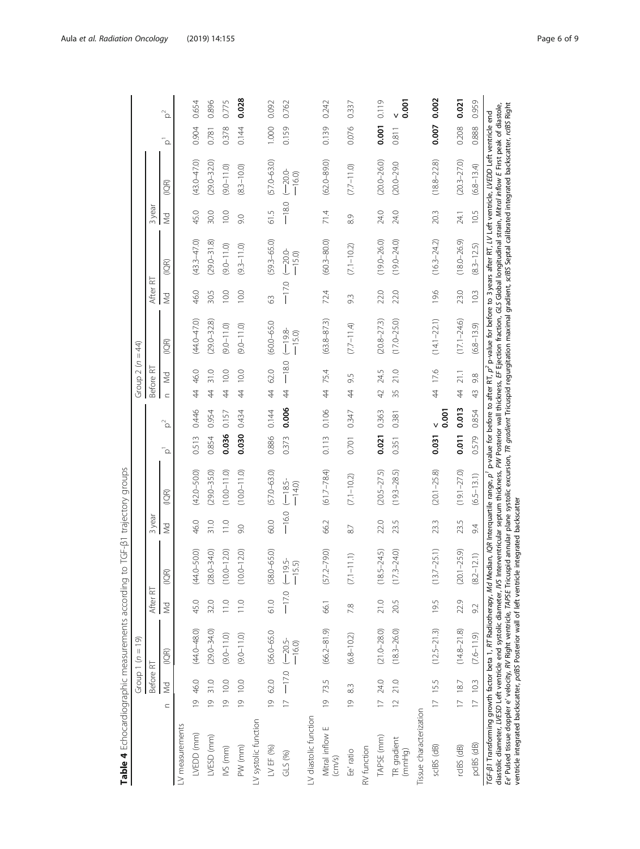<span id="page-5-0"></span>

|                                                                                                                                                                                                                                                                                                                                                                                                                                                                                                                                                                                                                                                                                                                                                                                                                                    |                |           | Group 1 ( $n = 19$ )            |           |                       |           |                     |                |          | Group 2 (n              | $=44$            |         |                      |           |                       |             |           |
|------------------------------------------------------------------------------------------------------------------------------------------------------------------------------------------------------------------------------------------------------------------------------------------------------------------------------------------------------------------------------------------------------------------------------------------------------------------------------------------------------------------------------------------------------------------------------------------------------------------------------------------------------------------------------------------------------------------------------------------------------------------------------------------------------------------------------------|----------------|-----------|---------------------------------|-----------|-----------------------|-----------|---------------------|----------------|----------|-------------------------|------------------|---------|----------------------|-----------|-----------------------|-------------|-----------|
|                                                                                                                                                                                                                                                                                                                                                                                                                                                                                                                                                                                                                                                                                                                                                                                                                                    |                | Before RT |                                 | After RT  |                       | 3year     |                     |                |          | Before RT               |                  | After   | $\approx$            | 3 year    |                       |             |           |
|                                                                                                                                                                                                                                                                                                                                                                                                                                                                                                                                                                                                                                                                                                                                                                                                                                    | $\subset$      | <b>Md</b> | (10R)                           | <b>Md</b> | (10R)                 | Md        | (IOR)               | $\overline{c}$ | $\alpha$ | $\leq$<br>$\subset$     | (10R)            | w       | $\widetilde{\Xi}$    | <b>Md</b> | (1QR)                 | $\bar{a}$   | $\beta^2$ |
| LV measurements                                                                                                                                                                                                                                                                                                                                                                                                                                                                                                                                                                                                                                                                                                                                                                                                                    |                |           |                                 |           |                       |           |                     |                |          |                         |                  |         |                      |           |                       |             |           |
| LVEDD (mm)                                                                                                                                                                                                                                                                                                                                                                                                                                                                                                                                                                                                                                                                                                                                                                                                                         |                | 19 46.0   | $(44.0 - 48.0)$                 | 45.0      | $(44.0 - 50.0)$       | 46.0      | $(42.0 - 50.0)$     | 0.513          | 0.446    | 44 46.0                 | $(44.0 - 47.0)$  | 46.0    | $(43.3 - 47.0)$      | 45.0      | $(43.0 - 47.0)$       | 0.904       | 0.654     |
| LVESD (mm)                                                                                                                                                                                                                                                                                                                                                                                                                                                                                                                                                                                                                                                                                                                                                                                                                         | $\overline{6}$ | 31.0      | $(29.0 - 34.0)$                 | 32.0      | $(28.0 - 34.0)$       | 31.0      | $(29.0 - 35.0)$     | 0.854          | 0.954    | 31.0<br>$\overline{4}$  | $(29.0 - 32.8)$  | 30.5    | $(29.0 - 31.8)$      | 30.0      | $(29.0 - 32.0)$       | 0.781       | 0.896     |
| IVS (mm)                                                                                                                                                                                                                                                                                                                                                                                                                                                                                                                                                                                                                                                                                                                                                                                                                           | $\overline{9}$ | 10.0      | $(9.0 - 1.0)$                   | 11.0      | $0.0 - 12.0$          | 11.0      | $(10.0 - 11.0)$     | 0.036          | 0.157    | 10.0<br>4               | $(0.11 - 0.9)$   | 10.0    | $(0.11 - 0.9)$       | 10.0      | $(9.0 - 11.0)$        | 0.378       | 0.775     |
| PW (mm)                                                                                                                                                                                                                                                                                                                                                                                                                                                                                                                                                                                                                                                                                                                                                                                                                            | $\overline{6}$ | 10.0      | $(9.0 - 11.0)$                  | 11.0      | $0.0 - 12.0$          | 9.0       | $(10.0 - 11.0)$     | 0.030          | 0.434    | 10.0<br>$\overline{4}$  | $(0.11 - 0.9)$   | 10.0    | $(9.3 - 11.0)$       | 9.0       | $(8.3 - 10.0)$        | 0.144       | 0.028     |
| LV systolic function                                                                                                                                                                                                                                                                                                                                                                                                                                                                                                                                                                                                                                                                                                                                                                                                               |                |           |                                 |           |                       |           |                     |                |          |                         |                  |         |                      |           |                       |             |           |
| LV EF (%)                                                                                                                                                                                                                                                                                                                                                                                                                                                                                                                                                                                                                                                                                                                                                                                                                          |                | 19 62.0   | $(56.0 - 65.0$                  | 61.0      | $(58.0 - 65.0)$       | 60.0      | $(57.0 - 63.0)$     | 0.886          | 0.144    | 62.0<br>$\ddot{4}$      | $(60.0 - 65.0$   | $\Im$   | $59.3 - 65.0$        | 61.5      | $(57.0 - 63.0)$       | 1.000       | 0.092     |
| $GLS$ $(%)$                                                                                                                                                                                                                                                                                                                                                                                                                                                                                                                                                                                                                                                                                                                                                                                                                        |                |           | $17 - 17.0 (-20.5 -$<br>$-16.0$ | $-17.0$   | $(-19.5 -$<br>$-15.5$ | $-16.0$   | $(-18.5$<br>$-14.0$ | 0.373          | 0.006    | $44 - 18.0$             | $-8e$<br>$-15.0$ | $-17.0$ | $-20.0 -$<br>$-15.0$ | $-180$    | $(-20.0 -$<br>$-16.0$ | 0.159       | 0.762     |
| LV diastolic function                                                                                                                                                                                                                                                                                                                                                                                                                                                                                                                                                                                                                                                                                                                                                                                                              |                |           |                                 |           |                       |           |                     |                |          |                         |                  |         |                      |           |                       |             |           |
| Mitral inflow E<br>$\left(\text{cm/s}\right)$                                                                                                                                                                                                                                                                                                                                                                                                                                                                                                                                                                                                                                                                                                                                                                                      | $\overline{6}$ | 73.5      | $(66.2 - 81.9)$                 | 66.1      | $(57.2 - 79.0)$       | 66.2      | $(61.7 - 78.4)$     | 0.113          | 0.106    | 75.4<br>$\frac{4}{3}$   | $(63.8 - 87.3)$  | 72.4    | $(60.3 - 80.0)$      | 71.4      | $(62.0 - 89.0)$       | 0.139       | 0.242     |
| Ee' ratio                                                                                                                                                                                                                                                                                                                                                                                                                                                                                                                                                                                                                                                                                                                                                                                                                          | $\overline{0}$ | 83        | $(6.8 - 10.2)$                  | 7.8       | $(7.1 - 11.1)$        | $\approx$ | $(7.1 - 10.2)$      | 0.701          | 0.347    | 9.5<br>4                | $(7.7 - 11.4)$   | 93      | $(7.1 - 10.2)$       | 8.9       | $(7.7 - 11.0)$        | 0.076       | 0.337     |
| RV function                                                                                                                                                                                                                                                                                                                                                                                                                                                                                                                                                                                                                                                                                                                                                                                                                        |                |           |                                 |           |                       |           |                     |                |          |                         |                  |         |                      |           |                       |             |           |
| TAPSE (mm)                                                                                                                                                                                                                                                                                                                                                                                                                                                                                                                                                                                                                                                                                                                                                                                                                         |                | 17 24.0   | $(21.0 - 28.0)$                 | 21.0      | $8.5 - 24.5$<br>Ξ     | 22.0      | $(20.5 - 27.5)$     | 0.021          | 0.363    | 24.5<br>$\overline{42}$ | $(20.8 - 27.3)$  | 22.0    | $(19.0 - 26.0)$      | 24.0      | $(20.0 - 26.0)$       | 0.001       | 0.119     |
| TR gradient<br>(mmHg)                                                                                                                                                                                                                                                                                                                                                                                                                                                                                                                                                                                                                                                                                                                                                                                                              | 12, 21.0       |           | $(18.3 - 26.0)$                 | 20.5      | $7.3 - 24.0$<br>Ξ     | 23.5      | $(19.3 - 28.5)$     | 0.351          | 0.381    | 21.0<br>35              | $(17.0 - 25.0)$  | 22.0    | $(19.0 - 24.0)$      | 24.0      | $(20.0 - 29.0$        | 0.811       | 0.001     |
| Tissue characterization                                                                                                                                                                                                                                                                                                                                                                                                                                                                                                                                                                                                                                                                                                                                                                                                            |                |           |                                 |           |                       |           |                     |                |          |                         |                  |         |                      |           |                       |             |           |
| sclBS (dB)                                                                                                                                                                                                                                                                                                                                                                                                                                                                                                                                                                                                                                                                                                                                                                                                                         |                | 17 15.5   | $(12.5 - 21.3)$                 | 19.5      | $(13.7 - 25.1)$       | 23.3      | $(20.1 - 25.8)$     | 0.031          | 0.001    | 44 17.6                 | $(14.1 - 22.1)$  | 19.6    | $(16.3 - 24.2)$      | 20.3      | $(18.8 - 22.8)$       | 0.007 0.002 |           |
| rcIBS (dB)                                                                                                                                                                                                                                                                                                                                                                                                                                                                                                                                                                                                                                                                                                                                                                                                                         | 17 18.7        |           | $(14.8 - 21.8)$                 | 22.9      | $(20.1 - 25.9)$       | 23.5      | $(19.1 - 27.0)$     | 0.011          | 0.013    | 21.1<br>4               | $(17.1 - 24.6)$  | 23.0    | $(18.0 - 26.9)$      | 24.1      | $(20.3 - 27.0)$       | 0.208       | 0.021     |
| pcIBS (dB)                                                                                                                                                                                                                                                                                                                                                                                                                                                                                                                                                                                                                                                                                                                                                                                                                         | 1710.3         |           | $(7.6 - 11.9)$                  | 9.2       | $(8.2 - 12.1)$        | 9.4       | $(6.5 - 13.1)$      | 0.579          | 0.854    | 9.8<br>43               | $(6.8 - 13.9)$   | 10.3    | $(8.3 - 12.5)$       | 10.5      | $(6.8 - 13.4)$        | 0.888       | 0.959     |
| Ee' Pulsed tissue doppler e' velocity, RV Right ventricle, TAPSE Tricuspid annular plane systolic excursion, TR gradient Tricuspid regurgitation maximal gradient, scl8S Septal calibrated integrated backscatter, rcl8S Right<br>diastolic diameter, LVESD Left ventricle end systolic diameter, IVS Interventricular septum thickness, PW Posterior wall thickness, EF Ejection faction, GLS Global longitudinal strain, Mitrol inflow E First peak of diastol<br>TGF-β1 Transforming growth factor beta 1, <i>RT</i> Radiotherapy, <i>Md</i> Median, IQR Interquartile range, p <sup>1</sup> p-value for before to after T, p <sup>2</sup> p-value for before to 3 years after RT, LIV Left ventricle, LIVEDD Left ventricle<br>ventricle integrated backscatter, pcIBS Posterior wall of left ventricle integrated backscatter |                |           |                                 |           |                       |           |                     |                |          |                         |                  |         |                      |           |                       |             |           |

Table 4 Echocardiographic measurements according to TGF-81 trajectory groups Table 4 Echocardiographic measurements according to TGF-β1 trajectory groups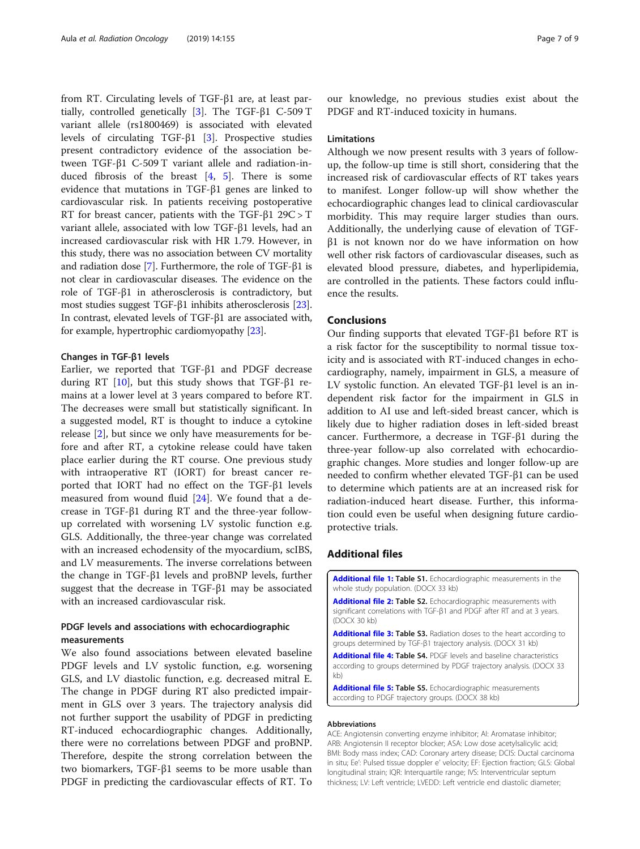<span id="page-6-0"></span>from RT. Circulating levels of TGF-β1 are, at least partially, controlled genetically [\[3](#page-7-0)]. The TGF-β1 C-509 T variant allele (rs1800469) is associated with elevated levels of circulating TGF-β1 [\[3](#page-7-0)]. Prospective studies present contradictory evidence of the association between TGF-β1 C-509 T variant allele and radiation-induced fibrosis of the breast [[4,](#page-7-0) [5](#page-7-0)]. There is some evidence that mutations in TGF-β1 genes are linked to cardiovascular risk. In patients receiving postoperative RT for breast cancer, patients with the TGF- $\beta$ 1 29C > T variant allele, associated with low TGF-β1 levels, had an increased cardiovascular risk with HR 1.79. However, in this study, there was no association between CV mortality and radiation dose [[7\]](#page-7-0). Furthermore, the role of TGF-β1 is not clear in cardiovascular diseases. The evidence on the role of TGF-β1 in atherosclerosis is contradictory, but most studies suggest TGF-β1 inhibits atherosclerosis [[23](#page-8-0)]. In contrast, elevated levels of TGF-β1 are associated with, for example, hypertrophic cardiomyopathy [[23](#page-8-0)].

# Changes in TGF-β1 levels

Earlier, we reported that TGF-β1 and PDGF decrease during RT [\[10](#page-7-0)], but this study shows that TGF-β1 remains at a lower level at 3 years compared to before RT. The decreases were small but statistically significant. In a suggested model, RT is thought to induce a cytokine release [[2](#page-7-0)], but since we only have measurements for before and after RT, a cytokine release could have taken place earlier during the RT course. One previous study with intraoperative RT (IORT) for breast cancer reported that IORT had no effect on the TGF-β1 levels measured from wound fluid [\[24](#page-8-0)]. We found that a decrease in TGF-β1 during RT and the three-year followup correlated with worsening LV systolic function e.g. GLS. Additionally, the three-year change was correlated with an increased echodensity of the myocardium, scIBS, and LV measurements. The inverse correlations between the change in TGF-β1 levels and proBNP levels, further suggest that the decrease in TGF-β1 may be associated with an increased cardiovascular risk.

# PDGF levels and associations with echocardiographic measurements

We also found associations between elevated baseline PDGF levels and LV systolic function, e.g. worsening GLS, and LV diastolic function, e.g. decreased mitral E. The change in PDGF during RT also predicted impairment in GLS over 3 years. The trajectory analysis did not further support the usability of PDGF in predicting RT-induced echocardiographic changes. Additionally, there were no correlations between PDGF and proBNP. Therefore, despite the strong correlation between the two biomarkers, TGF-β1 seems to be more usable than PDGF in predicting the cardiovascular effects of RT. To our knowledge, no previous studies exist about the PDGF and RT-induced toxicity in humans.

# Limitations

Although we now present results with 3 years of followup, the follow-up time is still short, considering that the increased risk of cardiovascular effects of RT takes years to manifest. Longer follow-up will show whether the echocardiographic changes lead to clinical cardiovascular morbidity. This may require larger studies than ours. Additionally, the underlying cause of elevation of TGFβ1 is not known nor do we have information on how well other risk factors of cardiovascular diseases, such as elevated blood pressure, diabetes, and hyperlipidemia, are controlled in the patients. These factors could influence the results.

# Conclusions

Our finding supports that elevated TGF-β1 before RT is a risk factor for the susceptibility to normal tissue toxicity and is associated with RT-induced changes in echocardiography, namely, impairment in GLS, a measure of LV systolic function. An elevated TGF-β1 level is an independent risk factor for the impairment in GLS in addition to AI use and left-sided breast cancer, which is likely due to higher radiation doses in left-sided breast cancer. Furthermore, a decrease in TGF-β1 during the three-year follow-up also correlated with echocardiographic changes. More studies and longer follow-up are needed to confirm whether elevated TGF-β1 can be used to determine which patients are at an increased risk for radiation-induced heart disease. Further, this information could even be useful when designing future cardioprotective trials.

# Additional files

[Additional file 1:](https://doi.org/10.1186/s13014-019-1366-1) Table S1. Echocardiographic measurements in the whole study population. (DOCX 33 kb)

[Additional file 2:](https://doi.org/10.1186/s13014-019-1366-1) Table S2. Echocardiographic measurements with significant correlations with TGF-β1 and PDGF after RT and at 3 years. (DOCX 30 kb)

[Additional file 3:](https://doi.org/10.1186/s13014-019-1366-1) Table S3. Radiation doses to the heart according to groups determined by TGF-β1 trajectory analysis. (DOCX 31 kb)

[Additional file 4:](https://doi.org/10.1186/s13014-019-1366-1) Table S4. PDGF levels and baseline characteristics according to groups determined by PDGF trajectory analysis. (DOCX 33 kb)

[Additional file 5:](https://doi.org/10.1186/s13014-019-1366-1) Table S5. Echocardiographic measurements according to PDGF trajectory groups. (DOCX 38 kb)

### Abbreviations

ACE: Angiotensin converting enzyme inhibitor; AI: Aromatase inhibitor; ARB: Angiotensin II receptor blocker; ASA: Low dose acetylsalicylic acid; BMI: Body mass index; CAD: Coronary artery disease; DCIS: Ductal carcinoma in situ; Ee': Pulsed tissue doppler e' velocity; EF: Ejection fraction; GLS: Global longitudinal strain; IQR: Interquartile range; IVS: Interventricular septum thickness; LV: Left ventricle; LVEDD: Left ventricle end diastolic diameter;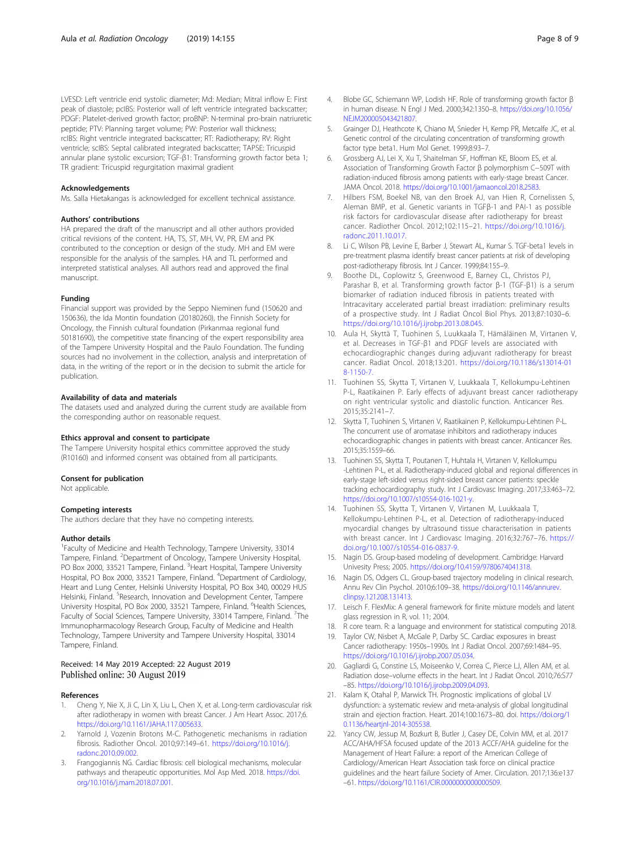<span id="page-7-0"></span>LVESD: Left ventricle end systolic diameter; Md: Median; Mitral inflow E: First peak of diastole; pcIBS: Posterior wall of left ventricle integrated backscatter; PDGF: Platelet-derived growth factor; proBNP: N-terminal pro-brain natriuretic peptide; PTV: Planning target volume; PW: Posterior wall thickness; rcIBS: Right ventricle integrated backscatter; RT: Radiotherapy; RV: Right ventricle; scIBS: Septal calibrated integrated backscatter; TAPSE: Tricuspid annular plane systolic excursion; TGF-β1: Transforming growth factor beta 1; TR gradient: Tricuspid regurgitation maximal gradient

#### Acknowledgements

Ms. Salla Hietakangas is acknowledged for excellent technical assistance.

#### Authors' contributions

HA prepared the draft of the manuscript and all other authors provided critical revisions of the content. HA, TS, ST, MH, VV, PR, EM and PK contributed to the conception or design of the study. MH and EM were responsible for the analysis of the samples. HA and TL performed and interpreted statistical analyses. All authors read and approved the final manuscript.

### Funding

Financial support was provided by the Seppo Nieminen fund (150620 and 150636), the Ida Montin foundation (20180260), the Finnish Society for Oncology, the Finnish cultural foundation (Pirkanmaa regional fund 50181690), the competitive state financing of the expert responsibility area of the Tampere University Hospital and the Paulo Foundation. The funding sources had no involvement in the collection, analysis and interpretation of data, in the writing of the report or in the decision to submit the article for publication.

### Availability of data and materials

The datasets used and analyzed during the current study are available from the corresponding author on reasonable request.

#### Ethics approval and consent to participate

The Tampere University hospital ethics committee approved the study (R10160) and informed consent was obtained from all participants.

#### Consent for publication

Not applicable.

# Competing interests

The authors declare that they have no competing interests.

#### Author details

<sup>1</sup> Faculty of Medicine and Health Technology, Tampere University, 33014 Tampere, Finland. <sup>2</sup>Department of Oncology, Tampere University Hospital, PO Box 2000, 33521 Tampere, Finland. <sup>3</sup>Heart Hospital, Tampere University Hospital, PO Box 2000, 33521 Tampere, Finland. <sup>4</sup>Department of Cardiology, Heart and Lung Center, Helsinki University Hospital, PO Box 340, 00029 HUS Helsinki, Finland. <sup>5</sup>Research, Innovation and Development Center, Tampere University Hospital, PO Box 2000, 33521 Tampere, Finland. <sup>6</sup>Health Sciences, Faculty of Social Sciences, Tampere University, 33014 Tampere, Finland. <sup>7</sup>The Immunopharmacology Research Group, Faculty of Medicine and Health Technology, Tampere University and Tampere University Hospital, 33014 Tampere, Finland.

### Received: 14 May 2019 Accepted: 22 August 2019 Published online: 30 August 2019

### References

- 1. Cheng Y, Nie X, Ji C, Lin X, Liu L, Chen X, et al. Long-term cardiovascular risk after radiotherapy in women with breast Cancer. J Am Heart Assoc. 2017;6. <https://doi.org/10.1161/JAHA.117.005633>.
- Yarnold J, Vozenin Brotons M-C. Pathogenetic mechanisms in radiation fibrosis. Radiother Oncol. 2010;97:149–61. [https://doi.org/10.1016/j.](https://doi.org/10.1016/j.radonc.2010.09.002) [radonc.2010.09.002](https://doi.org/10.1016/j.radonc.2010.09.002).
- 3. Frangogiannis NG. Cardiac fibrosis: cell biological mechanisms, molecular pathways and therapeutic opportunities. Mol Asp Med. 2018. [https://doi.](https://doi.org/10.1016/j.mam.2018.07.001) [org/10.1016/j.mam.2018.07.001.](https://doi.org/10.1016/j.mam.2018.07.001)
- Grainger DJ, Heathcote K, Chiano M, Snieder H, Kemp PR, Metcalfe JC, et al. Genetic control of the circulating concentration of transforming growth factor type beta1. Hum Mol Genet. 1999;8:93–7.
- 6. Grossberg AJ, Lei X, Xu T, Shaitelman SF, Hoffman KE, Bloom ES, et al. Association of Transforming Growth Factor β polymorphism C−509T with radiation-induced fibrosis among patients with early-stage breast Cancer. JAMA Oncol. 2018. [https://doi.org/10.1001/jamaoncol.2018.2583.](https://doi.org/10.1001/jamaoncol.2018.2583)
- 7. Hilbers FSM, Boekel NB, van den Broek AJ, van Hien R, Cornelissen S, Aleman BMP, et al. Genetic variants in TGFβ-1 and PAI-1 as possible risk factors for cardiovascular disease after radiotherapy for breast cancer. Radiother Oncol. 2012;102:115–21. [https://doi.org/10.1016/j.](https://doi.org/10.1016/j.radonc.2011.10.017) [radonc.2011.10.017](https://doi.org/10.1016/j.radonc.2011.10.017).
- 8. Li C, Wilson PB, Levine E, Barber J, Stewart AL, Kumar S. TGF-beta1 levels in pre-treatment plasma identify breast cancer patients at risk of developing post-radiotherapy fibrosis. Int J Cancer. 1999;84:155–9.
- 9. Boothe DL, Coplowitz S, Greenwood E, Barney CL, Christos PJ, Parashar B, et al. Transforming growth factor β-1 (TGF-β1) is a serum biomarker of radiation induced fibrosis in patients treated with Intracavitary accelerated partial breast irradiation: preliminary results of a prospective study. Int J Radiat Oncol Biol Phys. 2013;87:1030–6. [https://doi.org/10.1016/j.ijrobp.2013.08.045.](https://doi.org/10.1016/j.ijrobp.2013.08.045)
- 10. Aula H, Skyttä T, Tuohinen S, Luukkaala T, Hämäläinen M, Virtanen V, et al. Decreases in TGF-β1 and PDGF levels are associated with echocardiographic changes during adjuvant radiotherapy for breast cancer. Radiat Oncol. 2018;13:201. [https://doi.org/10.1186/s13014-01](https://doi.org/10.1186/s13014-018-1150-7.) [8-1150-7.](https://doi.org/10.1186/s13014-018-1150-7.)
- 11. Tuohinen SS, Skytta T, Virtanen V, Luukkaala T, Kellokumpu-Lehtinen P-L, Raatikainen P. Early effects of adjuvant breast cancer radiotherapy on right ventricular systolic and diastolic function. Anticancer Res. 2015;35:2141–7.
- 12. Skytta T, Tuohinen S, Virtanen V, Raatikainen P, Kellokumpu-Lehtinen P-L. The concurrent use of aromatase inhibitors and radiotherapy induces echocardiographic changes in patients with breast cancer. Anticancer Res. 2015;35:1559–66.
- 13. Tuohinen SS, Skytta T, Poutanen T, Huhtala H, Virtanen V, Kellokumpu -Lehtinen P-L, et al. Radiotherapy-induced global and regional differences in early-stage left-sided versus right-sided breast cancer patients: speckle tracking echocardiography study. Int J Cardiovasc Imaging. 2017;33:463–72. [https://doi.org/10.1007/s10554-016-1021-y.](https://doi.org/10.1007/s10554-016-1021-y)
- 14. Tuohinen SS, Skytta T, Virtanen V, Virtanen M, Luukkaala T, Kellokumpu-Lehtinen P-L, et al. Detection of radiotherapy-induced myocardial changes by ultrasound tissue characterisation in patients with breast cancer. Int J Cardiovasc Imaging. 2016;32:767–76. [https://](https://doi.org/10.1007/s10554-016-0837-9) [doi.org/10.1007/s10554-016-0837-9.](https://doi.org/10.1007/s10554-016-0837-9)
- 15. Nagin DS. Group-based modeling of development. Cambridge: Harvard Univesity Press; 2005. [https://doi.org/10.4159/9780674041318.](https://doi.org/10.4159/9780674041318)
- 16. Nagin DS, Odgers CL. Group-based trajectory modeling in clinical research. Annu Rev Clin Psychol. 2010;6:109–38. [https://doi.org/10.1146/annurev.](https://doi.org/10.1146/annurev.clinpsy.121208.131413) [clinpsy.121208.131413.](https://doi.org/10.1146/annurev.clinpsy.121208.131413)
- 17. Leisch F. FlexMix: A general framework for finite mixture models and latent glass regression in R, vol. 11; 2004.
- 18. R core team. R: a language and environment for statistical computing 2018.
- 19. Taylor CW, Nisbet A, McGale P, Darby SC. Cardiac exposures in breast Cancer radiotherapy: 1950s–1990s. Int J Radiat Oncol. 2007;69:1484–95. <https://doi.org/10.1016/j.ijrobp.2007.05.034>.
- 20. Gagliardi G, Constine LS, Moiseenko V, Correa C, Pierce LJ, Allen AM, et al. Radiation dose–volume effects in the heart. Int J Radiat Oncol. 2010;76:S77 –85. <https://doi.org/10.1016/j.ijrobp.2009.04.093>.
- 21. Kalam K, Otahal P, Marwick TH. Prognostic implications of global LV dysfunction: a systematic review and meta-analysis of global longitudinal strain and ejection fraction. Heart. 2014;100:1673–80. doi. [https://doi.org/1](https://doi.org/10.1136/heartjnl-2014-305538) [0.1136/heartjnl-2014-305538](https://doi.org/10.1136/heartjnl-2014-305538).
- 22. Yancy CW, Jessup M, Bozkurt B, Butler J, Casey DE, Colvin MM, et al. 2017 ACC/AHA/HFSA focused update of the 2013 ACCF/AHA guideline for the Management of Heart Failure: a report of the American College of Cardiology/American Heart Association task force on clinical practice guidelines and the heart failure Society of Amer. Circulation. 2017;136:e137 –61. [https://doi.org/10.1161/CIR.0000000000000509.](https://doi.org/10.1161/CIR.0000000000000509)